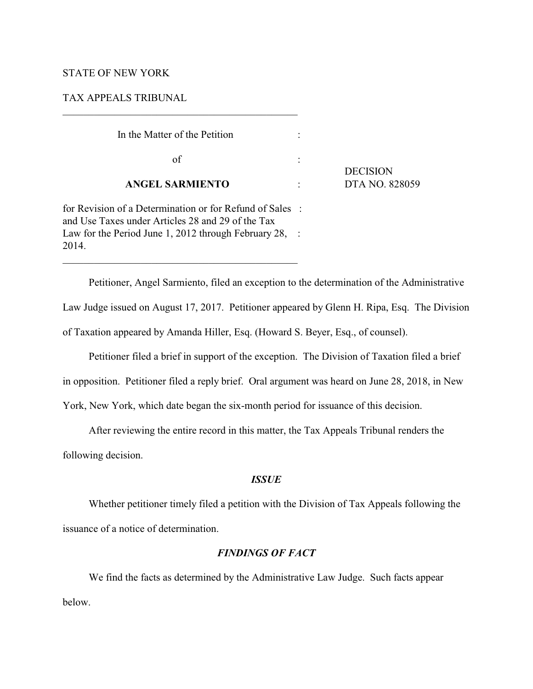## STATE OF NEW YORK

### TAX APPEALS TRIBUNAL

## In the Matter of the Petition :

\_\_\_\_\_\_\_\_\_\_\_\_\_\_\_\_\_\_\_\_\_\_\_\_\_\_\_\_\_\_\_\_\_\_\_\_\_\_\_\_\_\_\_\_\_

 $\sigma$  of  $\Gamma$  :

#### **ANGEL SARMIENTO** : DTA NO. 828059

**DECISION** 

for Revision of a Determination or for Refund of Sales : and Use Taxes under Articles 28 and 29 of the Tax Law for the Period June 1, 2012 through February 28, : 2014.

Petitioner, Angel Sarmiento, filed an exception to the determination of the Administrative Law Judge issued on August 17, 2017. Petitioner appeared by Glenn H. Ripa, Esq. The Division of Taxation appeared by Amanda Hiller, Esq. (Howard S. Beyer, Esq., of counsel).

Petitioner filed a brief in support of the exception. The Division of Taxation filed a brief

in opposition. Petitioner filed a reply brief. Oral argument was heard on June 28, 2018, in New

York, New York, which date began the six-month period for issuance of this decision.

After reviewing the entire record in this matter, the Tax Appeals Tribunal renders the

following decision.

## *ISSUE*

Whether petitioner timely filed a petition with the Division of Tax Appeals following the issuance of a notice of determination.

# *FINDINGS OF FACT*

We find the facts as determined by the Administrative Law Judge. Such facts appear below.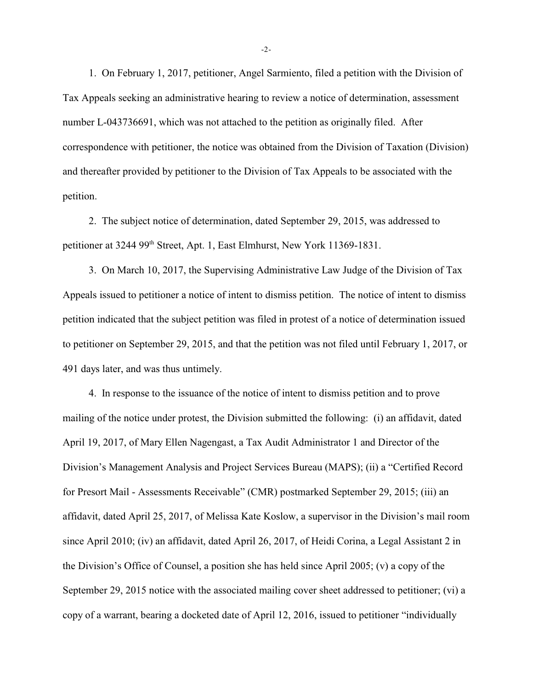1. On February 1, 2017, petitioner, Angel Sarmiento, filed a petition with the Division of Tax Appeals seeking an administrative hearing to review a notice of determination, assessment number L-043736691, which was not attached to the petition as originally filed. After correspondence with petitioner, the notice was obtained from the Division of Taxation (Division) and thereafter provided by petitioner to the Division of Tax Appeals to be associated with the petition.

2. The subject notice of determination, dated September 29, 2015, was addressed to petitioner at 3244 99<sup>th</sup> Street, Apt. 1, East Elmhurst, New York 11369-1831.

3. On March 10, 2017, the Supervising Administrative Law Judge of the Division of Tax Appeals issued to petitioner a notice of intent to dismiss petition. The notice of intent to dismiss petition indicated that the subject petition was filed in protest of a notice of determination issued to petitioner on September 29, 2015, and that the petition was not filed until February 1, 2017, or 491 days later, and was thus untimely.

4. In response to the issuance of the notice of intent to dismiss petition and to prove mailing of the notice under protest, the Division submitted the following: (i) an affidavit, dated April 19, 2017, of Mary Ellen Nagengast, a Tax Audit Administrator 1 and Director of the Division's Management Analysis and Project Services Bureau (MAPS); (ii) a "Certified Record for Presort Mail - Assessments Receivable" (CMR) postmarked September 29, 2015; (iii) an affidavit, dated April 25, 2017, of Melissa Kate Koslow, a supervisor in the Division's mail room since April 2010; (iv) an affidavit, dated April 26, 2017, of Heidi Corina, a Legal Assistant 2 in the Division's Office of Counsel, a position she has held since April 2005; (v) a copy of the September 29, 2015 notice with the associated mailing cover sheet addressed to petitioner; (vi) a copy of a warrant, bearing a docketed date of April 12, 2016, issued to petitioner "individually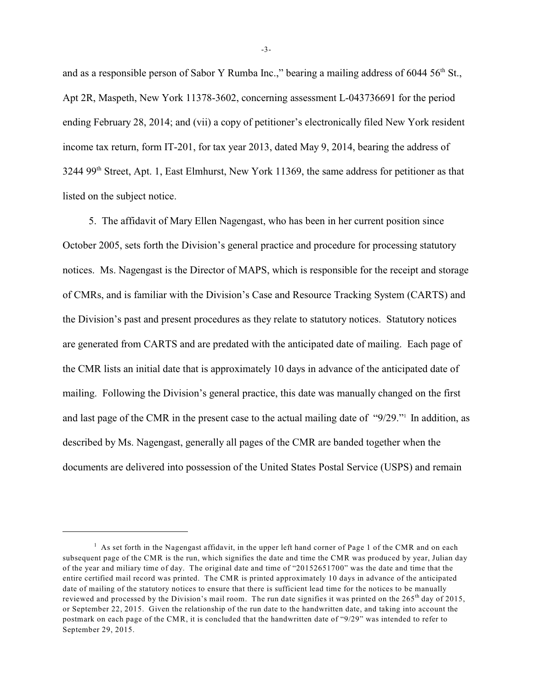and as a responsible person of Sabor Y Rumba Inc.," bearing a mailing address of 6044  $56<sup>th</sup>$  St., Apt 2R, Maspeth, New York 11378-3602, concerning assessment L-043736691 for the period ending February 28, 2014; and (vii) a copy of petitioner's electronically filed New York resident income tax return, form IT-201, for tax year 2013, dated May 9, 2014, bearing the address of 3244 99<sup>th</sup> Street, Apt. 1, East Elmhurst, New York 11369, the same address for petitioner as that listed on the subject notice.

5. The affidavit of Mary Ellen Nagengast, who has been in her current position since October 2005, sets forth the Division's general practice and procedure for processing statutory notices. Ms. Nagengast is the Director of MAPS, which is responsible for the receipt and storage of CMRs, and is familiar with the Division's Case and Resource Tracking System (CARTS) and the Division's past and present procedures as they relate to statutory notices. Statutory notices are generated from CARTS and are predated with the anticipated date of mailing. Each page of the CMR lists an initial date that is approximately 10 days in advance of the anticipated date of mailing. Following the Division's general practice, this date was manually changed on the first and last page of the CMR in the present case to the actual mailing date of "9/29." In addition, as described by Ms. Nagengast, generally all pages of the CMR are banded together when the documents are delivered into possession of the United States Postal Service (USPS) and remain

-3-

 $1$  As set forth in the Nagengast affidavit, in the upper left hand corner of Page 1 of the CMR and on each subsequent page of the CMR is the run, which signifies the date and time the CMR was produced by year, Julian day of the year and miliary time of day. The original date and time of "20152651700" was the date and time that the entire certified mail record was printed. The CMR is printed approximately 10 days in advance of the anticipated date of mailing of the statutory notices to ensure that there is sufficient lead time for the notices to be manually reviewed and processed by the Division's mail room. The run date signifies it was printed on the  $265<sup>th</sup>$  day of 2015, or September 22, 2015. Given the relationship of the run date to the handwritten date, and taking into account the postmark on each page of the CMR, it is concluded that the handwritten date of "9/29" was intended to refer to September 29, 2015.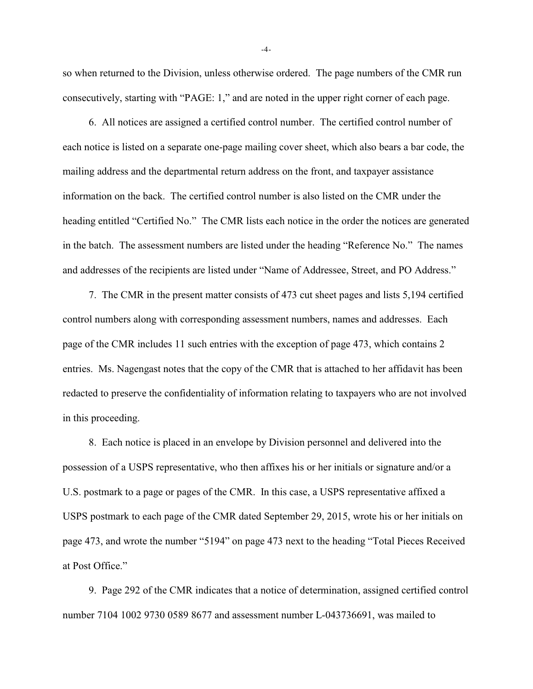so when returned to the Division, unless otherwise ordered. The page numbers of the CMR run consecutively, starting with "PAGE: 1," and are noted in the upper right corner of each page.

6. All notices are assigned a certified control number. The certified control number of each notice is listed on a separate one-page mailing cover sheet, which also bears a bar code, the mailing address and the departmental return address on the front, and taxpayer assistance information on the back. The certified control number is also listed on the CMR under the heading entitled "Certified No." The CMR lists each notice in the order the notices are generated in the batch. The assessment numbers are listed under the heading "Reference No." The names and addresses of the recipients are listed under "Name of Addressee, Street, and PO Address."

7. The CMR in the present matter consists of 473 cut sheet pages and lists 5,194 certified control numbers along with corresponding assessment numbers, names and addresses. Each page of the CMR includes 11 such entries with the exception of page 473, which contains 2 entries. Ms. Nagengast notes that the copy of the CMR that is attached to her affidavit has been redacted to preserve the confidentiality of information relating to taxpayers who are not involved in this proceeding.

8. Each notice is placed in an envelope by Division personnel and delivered into the possession of a USPS representative, who then affixes his or her initials or signature and/or a U.S. postmark to a page or pages of the CMR. In this case, a USPS representative affixed a USPS postmark to each page of the CMR dated September 29, 2015, wrote his or her initials on page 473, and wrote the number "5194" on page 473 next to the heading "Total Pieces Received at Post Office."

9. Page 292 of the CMR indicates that a notice of determination, assigned certified control number 7104 1002 9730 0589 8677 and assessment number L-043736691, was mailed to

-4-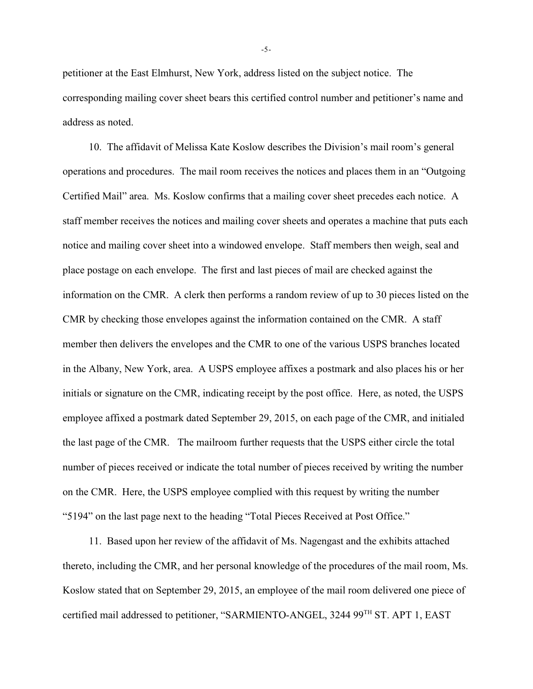petitioner at the East Elmhurst, New York, address listed on the subject notice. The corresponding mailing cover sheet bears this certified control number and petitioner's name and address as noted.

10. The affidavit of Melissa Kate Koslow describes the Division's mail room's general operations and procedures. The mail room receives the notices and places them in an "Outgoing Certified Mail" area. Ms. Koslow confirms that a mailing cover sheet precedes each notice. A staff member receives the notices and mailing cover sheets and operates a machine that puts each notice and mailing cover sheet into a windowed envelope. Staff members then weigh, seal and place postage on each envelope. The first and last pieces of mail are checked against the information on the CMR. A clerk then performs a random review of up to 30 pieces listed on the CMR by checking those envelopes against the information contained on the CMR. A staff member then delivers the envelopes and the CMR to one of the various USPS branches located in the Albany, New York, area. A USPS employee affixes a postmark and also places his or her initials or signature on the CMR, indicating receipt by the post office. Here, as noted, the USPS employee affixed a postmark dated September 29, 2015, on each page of the CMR, and initialed the last page of the CMR. The mailroom further requests that the USPS either circle the total number of pieces received or indicate the total number of pieces received by writing the number on the CMR. Here, the USPS employee complied with this request by writing the number "5194" on the last page next to the heading "Total Pieces Received at Post Office."

11. Based upon her review of the affidavit of Ms. Nagengast and the exhibits attached thereto, including the CMR, and her personal knowledge of the procedures of the mail room, Ms. Koslow stated that on September 29, 2015, an employee of the mail room delivered one piece of certified mail addressed to petitioner, "SARMIENTO-ANGEL, 3244 99<sup>TH</sup> ST. APT 1, EAST

-5-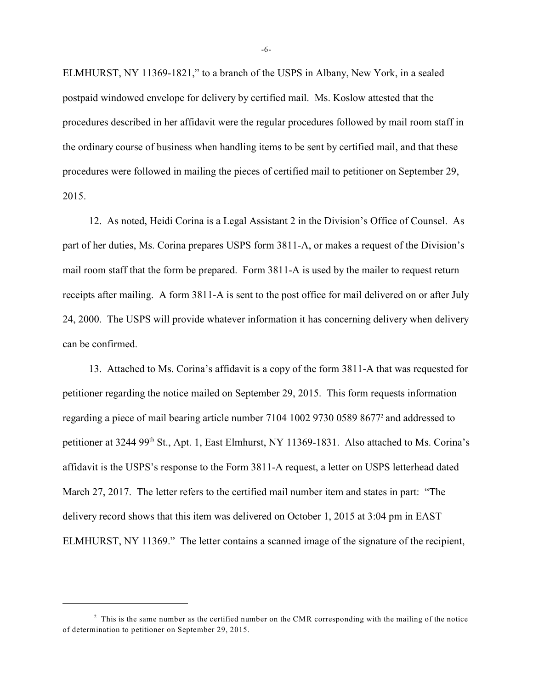ELMHURST, NY 11369-1821," to a branch of the USPS in Albany, New York, in a sealed postpaid windowed envelope for delivery by certified mail. Ms. Koslow attested that the procedures described in her affidavit were the regular procedures followed by mail room staff in the ordinary course of business when handling items to be sent by certified mail, and that these procedures were followed in mailing the pieces of certified mail to petitioner on September 29, 2015.

12. As noted, Heidi Corina is a Legal Assistant 2 in the Division's Office of Counsel. As part of her duties, Ms. Corina prepares USPS form 3811-A, or makes a request of the Division's mail room staff that the form be prepared. Form 3811-A is used by the mailer to request return receipts after mailing. A form 3811-A is sent to the post office for mail delivered on or after July 24, 2000. The USPS will provide whatever information it has concerning delivery when delivery can be confirmed.

13. Attached to Ms. Corina's affidavit is a copy of the form 3811-A that was requested for petitioner regarding the notice mailed on September 29, 2015. This form requests information regarding a piece of mail bearing article number 7104 1002 9730 0589 8677<sup>2</sup> and addressed to petitioner at 3244 99<sup>th</sup> St., Apt. 1, East Elmhurst, NY 11369-1831. Also attached to Ms. Corina's affidavit is the USPS's response to the Form 3811-A request, a letter on USPS letterhead dated March 27, 2017. The letter refers to the certified mail number item and states in part: "The delivery record shows that this item was delivered on October 1, 2015 at 3:04 pm in EAST ELMHURST, NY 11369." The letter contains a scanned image of the signature of the recipient,

-6-

 $2$  This is the same number as the certified number on the CMR corresponding with the mailing of the notice of determination to petitioner on September 29, 2015.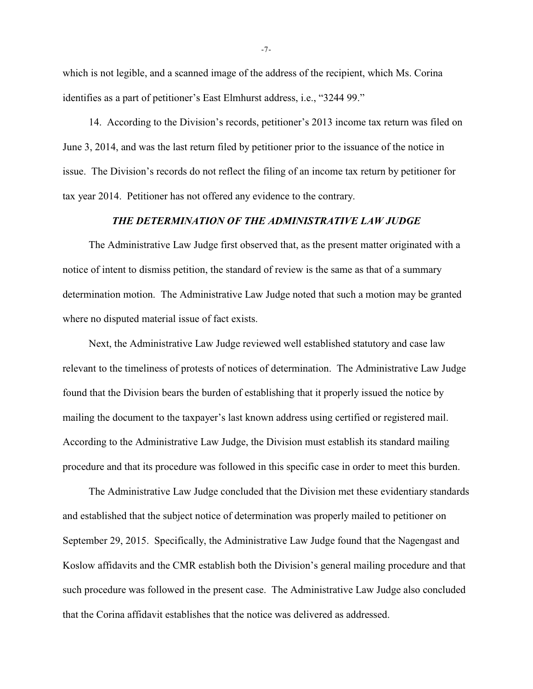which is not legible, and a scanned image of the address of the recipient, which Ms. Corina identifies as a part of petitioner's East Elmhurst address, i.e., "3244 99."

14. According to the Division's records, petitioner's 2013 income tax return was filed on June 3, 2014, and was the last return filed by petitioner prior to the issuance of the notice in issue. The Division's records do not reflect the filing of an income tax return by petitioner for tax year 2014. Petitioner has not offered any evidence to the contrary.

### *THE DETERMINATION OF THE ADMINISTRATIVE LAW JUDGE*

The Administrative Law Judge first observed that, as the present matter originated with a notice of intent to dismiss petition, the standard of review is the same as that of a summary determination motion. The Administrative Law Judge noted that such a motion may be granted where no disputed material issue of fact exists.

Next, the Administrative Law Judge reviewed well established statutory and case law relevant to the timeliness of protests of notices of determination. The Administrative Law Judge found that the Division bears the burden of establishing that it properly issued the notice by mailing the document to the taxpayer's last known address using certified or registered mail. According to the Administrative Law Judge, the Division must establish its standard mailing procedure and that its procedure was followed in this specific case in order to meet this burden.

The Administrative Law Judge concluded that the Division met these evidentiary standards and established that the subject notice of determination was properly mailed to petitioner on September 29, 2015. Specifically, the Administrative Law Judge found that the Nagengast and Koslow affidavits and the CMR establish both the Division's general mailing procedure and that such procedure was followed in the present case. The Administrative Law Judge also concluded that the Corina affidavit establishes that the notice was delivered as addressed.

-7-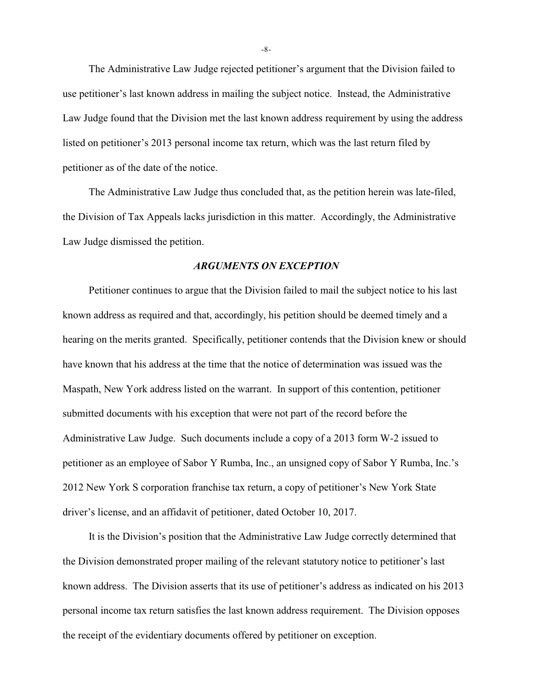The Administrative Law Judge rejected petitioner's argument that the Division failed to use petitioner's last known address in mailing the subject notice. Instead, the Administrative Law Judge found that the Division met the last known address requirement by using the address listed on petitioner's 2013 personal income tax return, which was the last return filed by petitioner as of the date of the notice.

The Administrative Law Judge thus concluded that, as the petition herein was late-filed, the Division of Tax Appeals lacks jurisdiction in this matter. Accordingly, the Administrative Law Judge dismissed the petition.

#### *ARGUMENTS ON EXCEPTION*

Petitioner continues to argue that the Division failed to mail the subject notice to his last known address as required and that, accordingly, his petition should be deemed timely and a hearing on the merits granted. Specifically, petitioner contends that the Division knew or should have known that his address at the time that the notice of determination was issued was the Maspath, New York address listed on the warrant. In support of this contention, petitioner submitted documents with his exception that were not part of the record before the Administrative Law Judge. Such documents include a copy of a 2013 form W-2 issued to petitioner as an employee of Sabor Y Rumba, Inc., an unsigned copy of Sabor Y Rumba, Inc.'s 2012 New York S corporation franchise tax return, a copy of petitioner's New York State driver's license, and an affidavit of petitioner, dated October 10, 2017.

It is the Division's position that the Administrative Law Judge correctly determined that the Division demonstrated proper mailing of the relevant statutory notice to petitioner's last known address. The Division asserts that its use of petitioner's address as indicated on his 2013 personal income tax return satisfies the last known address requirement. The Division opposes the receipt of the evidentiary documents offered by petitioner on exception.

-8-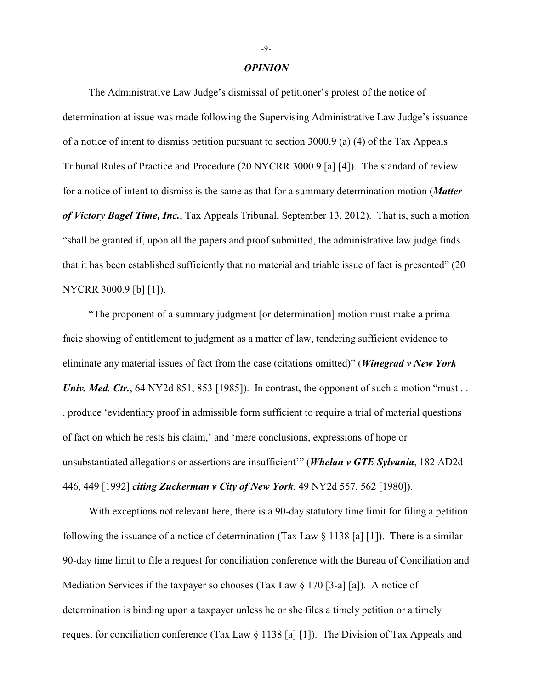#### *OPINION*

The Administrative Law Judge's dismissal of petitioner's protest of the notice of determination at issue was made following the Supervising Administrative Law Judge's issuance of a notice of intent to dismiss petition pursuant to section 3000.9 (a) (4) of the Tax Appeals Tribunal Rules of Practice and Procedure (20 NYCRR 3000.9 [a] [4]). The standard of review for a notice of intent to dismiss is the same as that for a summary determination motion (*Matter of Victory Bagel Time, Inc.*, Tax Appeals Tribunal, September 13, 2012). That is, such a motion "shall be granted if, upon all the papers and proof submitted, the administrative law judge finds that it has been established sufficiently that no material and triable issue of fact is presented" (20 NYCRR 3000.9 [b] [1]).

"The proponent of a summary judgment [or determination] motion must make a prima facie showing of entitlement to judgment as a matter of law, tendering sufficient evidence to eliminate any material issues of fact from the case (citations omitted)" (*Winegrad v New York Univ. Med. Ctr.*, 64 NY2d 851, 853 [1985]). In contrast, the opponent of such a motion "must... . produce 'evidentiary proof in admissible form sufficient to require a trial of material questions of fact on which he rests his claim,' and 'mere conclusions, expressions of hope or unsubstantiated allegations or assertions are insufficient'" (*Whelan v GTE Sylvania*, 182 AD2d 446, 449 [1992] *citing Zuckerman v City of New York*, 49 NY2d 557, 562 [1980]).

With exceptions not relevant here, there is a 90-day statutory time limit for filing a petition following the issuance of a notice of determination (Tax Law  $\S 1138$  [a] [1]). There is a similar 90-day time limit to file a request for conciliation conference with the Bureau of Conciliation and Mediation Services if the taxpayer so chooses (Tax Law § 170 [3-a] [a]). A notice of determination is binding upon a taxpayer unless he or she files a timely petition or a timely request for conciliation conference (Tax Law § 1138 [a] [1]). The Division of Tax Appeals and

-9-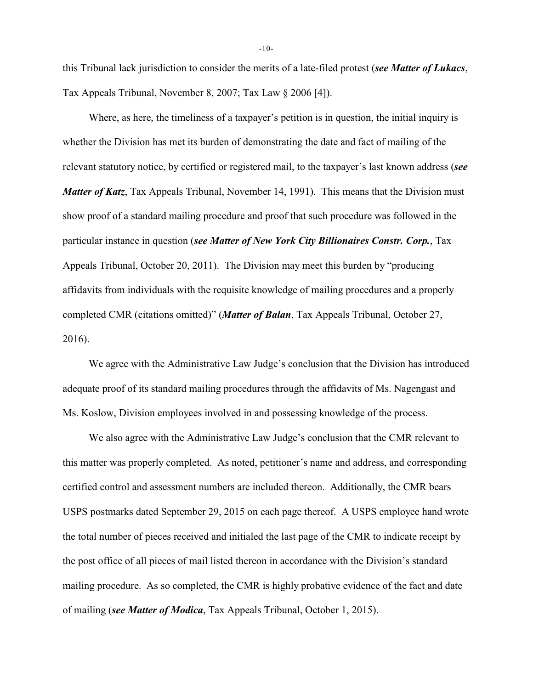this Tribunal lack jurisdiction to consider the merits of a late-filed protest (*see Matter of Lukacs*, Tax Appeals Tribunal, November 8, 2007; Tax Law § 2006 [4]).

Where, as here, the timeliness of a taxpayer's petition is in question, the initial inquiry is whether the Division has met its burden of demonstrating the date and fact of mailing of the relevant statutory notice, by certified or registered mail, to the taxpayer's last known address (*see Matter of Katz*, Tax Appeals Tribunal, November 14, 1991). This means that the Division must show proof of a standard mailing procedure and proof that such procedure was followed in the particular instance in question (*see Matter of New York City Billionaires Constr. Corp.*, Tax Appeals Tribunal, October 20, 2011). The Division may meet this burden by "producing affidavits from individuals with the requisite knowledge of mailing procedures and a properly completed CMR (citations omitted)" (*Matter of Balan*, Tax Appeals Tribunal, October 27, 2016).

We agree with the Administrative Law Judge's conclusion that the Division has introduced adequate proof of its standard mailing procedures through the affidavits of Ms. Nagengast and Ms. Koslow, Division employees involved in and possessing knowledge of the process.

We also agree with the Administrative Law Judge's conclusion that the CMR relevant to this matter was properly completed. As noted, petitioner's name and address, and corresponding certified control and assessment numbers are included thereon. Additionally, the CMR bears USPS postmarks dated September 29, 2015 on each page thereof. A USPS employee hand wrote the total number of pieces received and initialed the last page of the CMR to indicate receipt by the post office of all pieces of mail listed thereon in accordance with the Division's standard mailing procedure. As so completed, the CMR is highly probative evidence of the fact and date of mailing (*see Matter of Modica*, Tax Appeals Tribunal, October 1, 2015).

-10-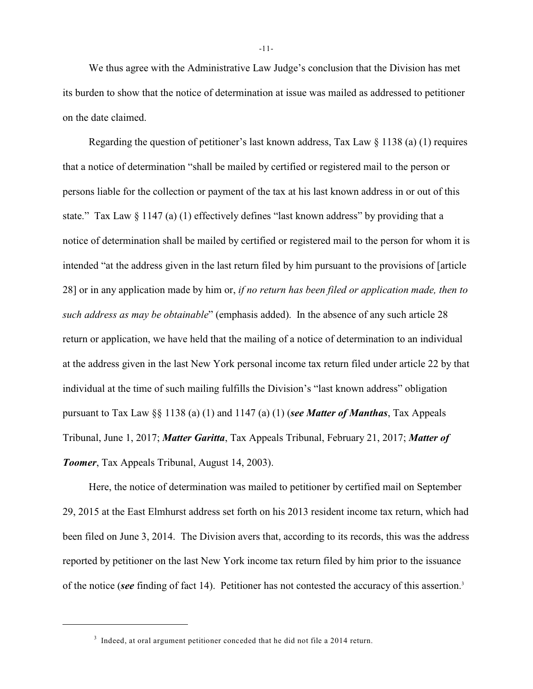We thus agree with the Administrative Law Judge's conclusion that the Division has met its burden to show that the notice of determination at issue was mailed as addressed to petitioner on the date claimed.

Regarding the question of petitioner's last known address, Tax Law § 1138 (a) (1) requires that a notice of determination "shall be mailed by certified or registered mail to the person or persons liable for the collection or payment of the tax at his last known address in or out of this state." Tax Law § 1147 (a) (1) effectively defines "last known address" by providing that a notice of determination shall be mailed by certified or registered mail to the person for whom it is intended "at the address given in the last return filed by him pursuant to the provisions of [article 28] or in any application made by him or, *if no return has been filed or application made, then to such address as may be obtainable*" (emphasis added). In the absence of any such article 28 return or application, we have held that the mailing of a notice of determination to an individual at the address given in the last New York personal income tax return filed under article 22 by that individual at the time of such mailing fulfills the Division's "last known address" obligation pursuant to Tax Law §§ 1138 (a) (1) and 1147 (a) (1) (*see Matter of Manthas*, Tax Appeals Tribunal, June 1, 2017; *Matter Garitta*, Tax Appeals Tribunal, February 21, 2017; *Matter of Toomer*, Tax Appeals Tribunal, August 14, 2003).

Here, the notice of determination was mailed to petitioner by certified mail on September 29, 2015 at the East Elmhurst address set forth on his 2013 resident income tax return, which had been filed on June 3, 2014. The Division avers that, according to its records, this was the address reported by petitioner on the last New York income tax return filed by him prior to the issuance of the notice (*see* finding of fact 14). Petitioner has not contested the accuracy of this assertion.3

-11-

 $3$  Indeed, at oral argument petitioner conceded that he did not file a 2014 return.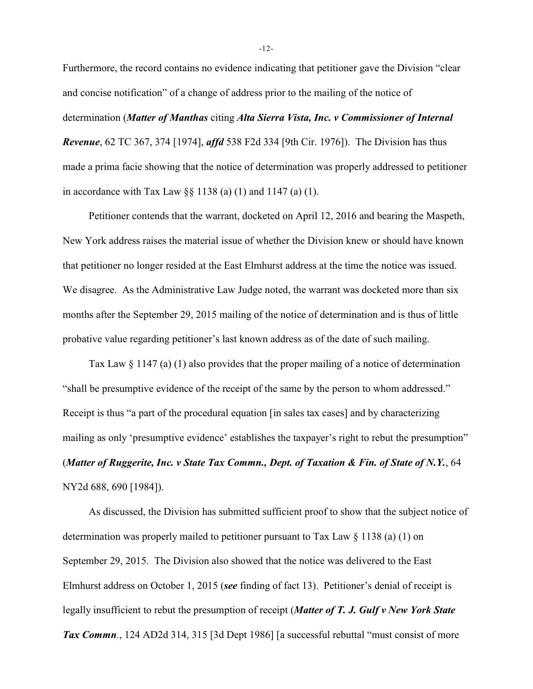Furthermore, the record contains no evidence indicating that petitioner gave the Division "clear and concise notification" of a change of address prior to the mailing of the notice of determination (*Matter of Manthas* citing *Alta Sierra Vista, Inc. v Commissioner of Internal Revenue*, 62 TC 367, 374 [1974], *affd* 538 F2d 334 [9th Cir. 1976]). The Division has thus made a prima facie showing that the notice of determination was properly addressed to petitioner in accordance with Tax Law  $\S$ § 1138 (a) (1) and 1147 (a) (1).

Petitioner contends that the warrant, docketed on April 12, 2016 and bearing the Maspeth, New York address raises the material issue of whether the Division knew or should have known that petitioner no longer resided at the East Elmhurst address at the time the notice was issued. We disagree. As the Administrative Law Judge noted, the warrant was docketed more than six months after the September 29, 2015 mailing of the notice of determination and is thus of little probative value regarding petitioner's last known address as of the date of such mailing.

Tax Law § 1147 (a) (1) also provides that the proper mailing of a notice of determination "shall be presumptive evidence of the receipt of the same by the person to whom addressed." Receipt is thus "a part of the procedural equation [in sales tax cases] and by characterizing mailing as only 'presumptive evidence' establishes the taxpayer's right to rebut the presumption" (*Matter of Ruggerite, Inc. v State Tax Commn., Dept. of Taxation & Fin. of State of N.Y.*, 64 NY2d 688, 690 [1984]).

As discussed, the Division has submitted sufficient proof to show that the subject notice of determination was properly mailed to petitioner pursuant to Tax Law  $\S$  1138 (a) (1) on September 29, 2015. The Division also showed that the notice was delivered to the East Elmhurst address on October 1, 2015 (*see* finding of fact 13). Petitioner's denial of receipt is legally insufficient to rebut the presumption of receipt (*Matter of T. J. Gulf v New York State Tax Commn*., 124 AD2d 314, 315 [3d Dept 1986] [a successful rebuttal "must consist of more

-12-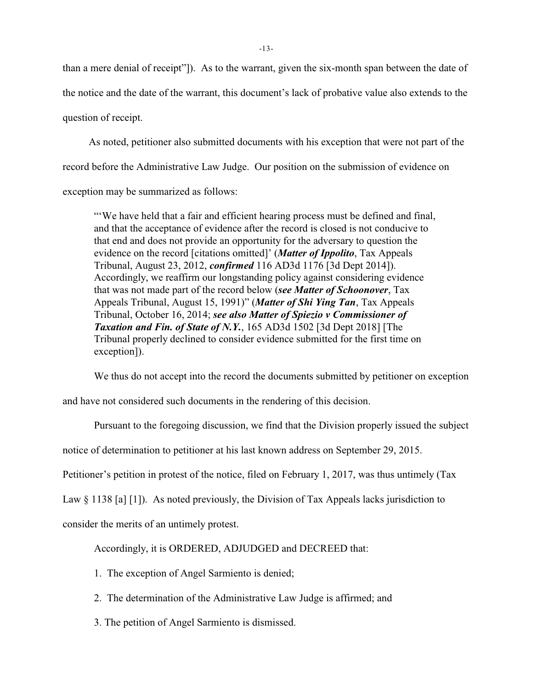than a mere denial of receipt"]). As to the warrant, given the six-month span between the date of the notice and the date of the warrant, this document's lack of probative value also extends to the question of receipt.

As noted, petitioner also submitted documents with his exception that were not part of the record before the Administrative Law Judge. Our position on the submission of evidence on exception may be summarized as follows:

"'We have held that a fair and efficient hearing process must be defined and final, and that the acceptance of evidence after the record is closed is not conducive to that end and does not provide an opportunity for the adversary to question the evidence on the record [citations omitted]' (*Matter of Ippolito*, Tax Appeals Tribunal, August 23, 2012, *confirmed* 116 AD3d 1176 [3d Dept 2014]). Accordingly, we reaffirm our longstanding policy against considering evidence that was not made part of the record below (*see Matter of Schoonover*, Tax Appeals Tribunal, August 15, 1991)" (*Matter of Shi Ying Tan*, Tax Appeals Tribunal, October 16, 2014; *see also Matter of Spiezio v Commissioner of Taxation and Fin. of State of N.Y.*, 165 AD3d 1502 [3d Dept 2018] [The Tribunal properly declined to consider evidence submitted for the first time on exception]).

We thus do not accept into the record the documents submitted by petitioner on exception

and have not considered such documents in the rendering of this decision.

Pursuant to the foregoing discussion, we find that the Division properly issued the subject

notice of determination to petitioner at his last known address on September 29, 2015.

Petitioner's petition in protest of the notice, filed on February 1, 2017, was thus untimely (Tax

Law § 1138 [a] [1]). As noted previously, the Division of Tax Appeals lacks jurisdiction to

consider the merits of an untimely protest.

Accordingly, it is ORDERED, ADJUDGED and DECREED that:

1. The exception of Angel Sarmiento is denied;

- 2. The determination of the Administrative Law Judge is affirmed; and
- 3. The petition of Angel Sarmiento is dismissed.